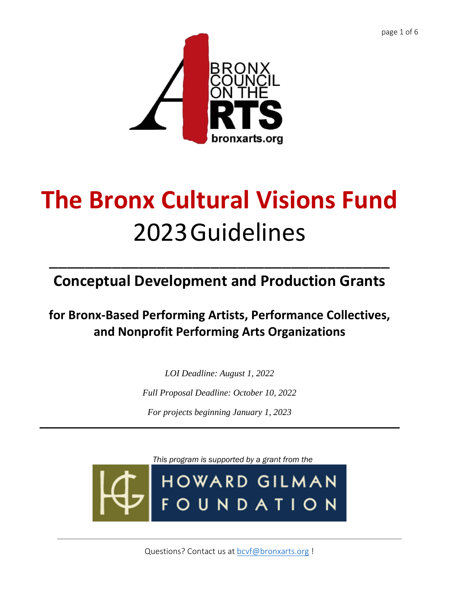page 1 of 6



# **The Bronx Cultural Visions Fund** 2023Guidelines

**Conceptual Development and Production Grants** 

\_\_\_\_\_\_\_\_\_\_\_\_\_\_\_\_\_\_\_\_\_\_\_\_\_\_\_\_\_\_\_\_\_\_\_\_\_\_

**for Bronx-Based Performing Artists, Performance Collectives, and Nonprofit Performing Arts Organizations**

> *LOI Deadline: August 1, 2022 Full Proposal Deadline: October 10, 2022 For projects beginning January 1, 2023*

*This program is supported by a grant from the***HOWARD GILMAN FOUNDATION** 

Questions? Contact us at [bcvf@bronxarts.org](mailto:bcvf@bronxarts.org) !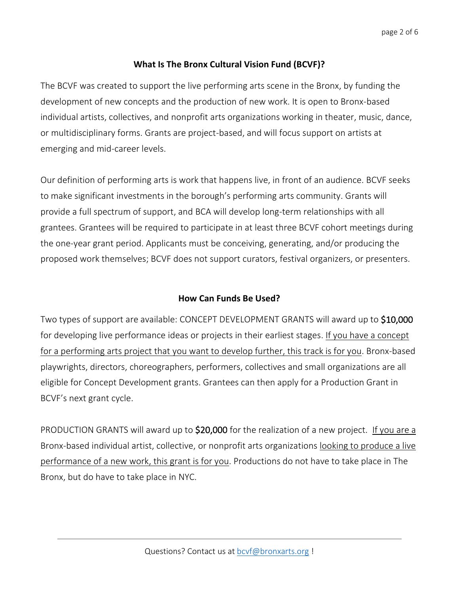## **What Is The Bronx Cultural Vision Fund (BCVF)?**

The BCVF was created to support the live performing arts scene in the Bronx, by funding the development of new concepts and the production of new work. It is open to Bronx-based individual artists, collectives, and nonprofit arts organizations working in theater, music, dance, or multidisciplinary forms. Grants are project-based, and will focus support on artists at emerging and mid-career levels.

Our definition of performing arts is work that happens live, in front of an audience. BCVF seeks to make significant investments in the borough's performing arts community. Grants will provide a full spectrum of support, and BCA will develop long-term relationships with all grantees. Grantees will be required to participate in at least three BCVF cohort meetings during the one-year grant period. Applicants must be conceiving, generating, and/or producing the proposed work themselves; BCVF does not support curators, festival organizers, or presenters.

## **How Can Funds Be Used?**

Two types of support are available: CONCEPT DEVELOPMENT GRANTS will award up to \$10,000 for developing live performance ideas or projects in their earliest stages. If you have a concept for a performing arts project that you want to develop further, this track is for you. Bronx-based playwrights, directors, choreographers, performers, collectives and small organizations are all eligible for Concept Development grants. Grantees can then apply for a Production Grant in BCVF's next grant cycle.

PRODUCTION GRANTS will award up to \$20,000 for the realization of a new project. If you are a Bronx-based individual artist, collective, or nonprofit arts organizations looking to produce a live performance of a new work, this grant is for you. Productions do not have to take place in The Bronx, but do have to take place in NYC.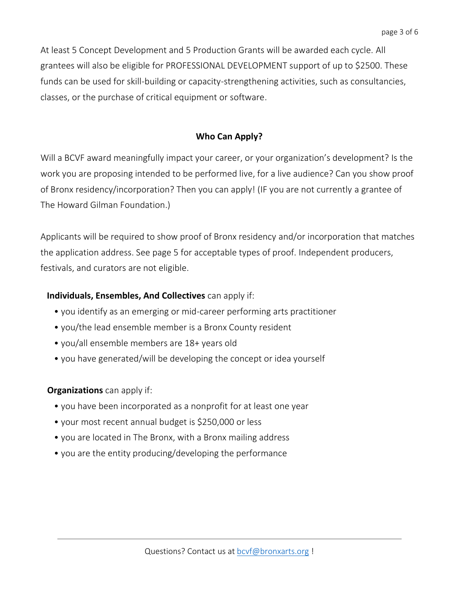At least 5 Concept Development and 5 Production Grants will be awarded each cycle. All grantees will also be eligible for PROFESSIONAL DEVELOPMENT support of up to \$2500. These funds can be used for skill-building or capacity-strengthening activities, such as consultancies, classes, or the purchase of critical equipment or software.

#### **Who Can Apply?**

Will a BCVF award meaningfully impact your career, or your organization's development? Is the work you are proposing intended to be performed live, for a live audience? Can you show proof of Bronx residency/incorporation? Then you can apply! (IF you are not currently a grantee of The Howard Gilman Foundation.)

Applicants will be required to show proof of Bronx residency and/or incorporation that matches the application address. See page 5 for acceptable types of proof. Independent producers, festivals, and curators are not eligible.

#### **Individuals, Ensembles, And Collectives** can apply if:

- you identify as an emerging or mid-career performing arts practitioner
- you/the lead ensemble member is a Bronx County resident
- you/all ensemble members are 18+ years old
- you have generated/will be developing the concept or idea yourself

#### **Organizations** can apply if:

- you have been incorporated as a nonprofit for at least one year
- your most recent annual budget is \$250,000 or less
- you are located in The Bronx, with a Bronx mailing address
- you are the entity producing/developing the performance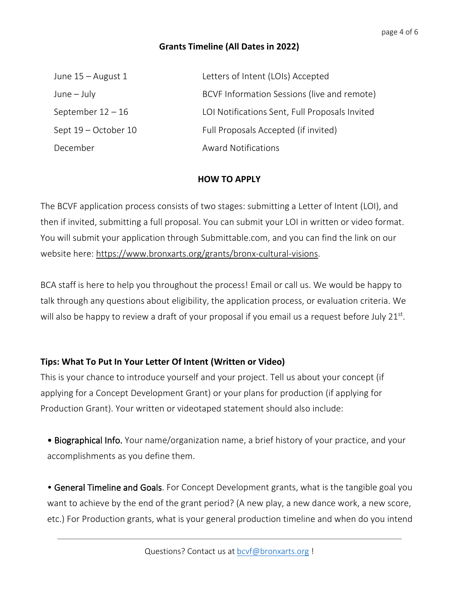## **Grants Timeline (All Dates in 2022)**

| June $15 -$ August 1 | Letters of Intent (LOIs) Accepted              |
|----------------------|------------------------------------------------|
| $June - July$        | BCVF Information Sessions (live and remote)    |
| September $12 - 16$  | LOI Notifications Sent, Full Proposals Invited |
| Sept 19 – October 10 | Full Proposals Accepted (if invited)           |
| December             | <b>Award Notifications</b>                     |

#### **HOW TO APPLY**

The BCVF application process consists of two stages: submitting a Letter of Intent (LOI), and then if invited, submitting a full proposal. You can submit your LOI in written or video format. You will submit your application through Submittable.com, and you can find the link on our website here: [https://www.bronxarts.org/grants/bronx-cultural-visions.](https://www.bronxarts.org/grants/bronx-cultural-visions)

BCA staff is here to help you throughout the process! Email or call us. We would be happy to talk through any questions about eligibility, the application process, or evaluation criteria. We will also be happy to review a draft of your proposal if you email us a request before July 21st.

## **Tips: What To Put In Your Letter Of Intent (Written or Video)**

This is your chance to introduce yourself and your project. Tell us about your concept (if applying for a Concept Development Grant) or your plans for production (if applying for Production Grant). Your written or videotaped statement should also include:

• Biographical Info. Your name/organization name, a brief history of your practice, and your accomplishments as you define them.

• General Timeline and Goals. For Concept Development grants, what is the tangible goal you want to achieve by the end of the grant period? (A new play, a new dance work, a new score, etc.) For Production grants, what is your general production timeline and when do you intend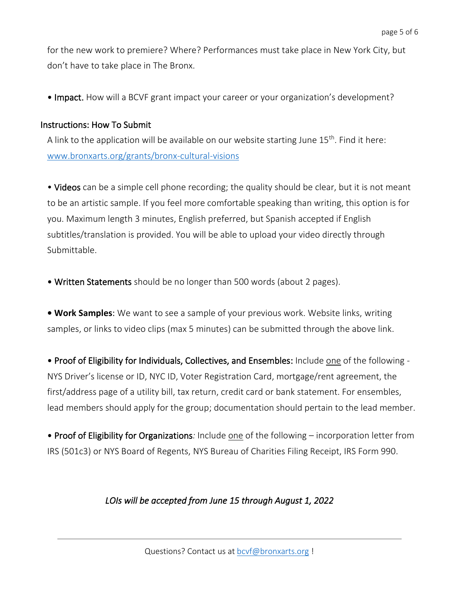for the new work to premiere? Where? Performances must take place in New York City, but don't have to take place in The Bronx.

• Impact. How will a BCVF grant impact your career or your organization's development?

#### Instructions: How To Submit

A link to the application will be available on our website starting June  $15<sup>th</sup>$ . Find it here: [www.bronxarts.org/grants/bronx-cultural-visions](http://www.bronxarts.org/grants/bronx-cultural-visions) 

• Videos can be a simple cell phone recording; the quality should be clear, but it is not meant to be an artistic sample. If you feel more comfortable speaking than writing, this option is for you. Maximum length 3 minutes, English preferred, but Spanish accepted if English subtitles/translation is provided. You will be able to upload your video directly through Submittable.

• Written Statements should be no longer than 500 words (about 2 pages).

**• Work Samples**: We want to see a sample of your previous work. Website links, writing samples, or links to video clips (max 5 minutes) can be submitted through the above link.

• Proof of Eligibility for Individuals, Collectives, and Ensembles: Include one of the following - NYS Driver's license or ID, NYC ID, Voter Registration Card, mortgage/rent agreement, the first/address page of a utility bill, tax return, credit card or bank statement. For ensembles, lead members should apply for the group; documentation should pertain to the lead member.

• Proof of Eligibility for Organizations*:* Include one of the following – incorporation letter from IRS (501c3) or NYS Board of Regents, NYS Bureau of Charities Filing Receipt, IRS Form 990.

## *LOIs will be accepted from June 15 through August 1, 2022*